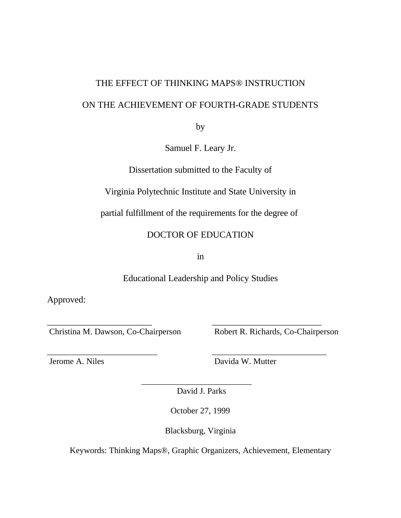# THE EFFECT OF THINKING MAPS® INSTRUCTION ON THE ACHIEVEMENT OF FOURTH-GRADE STUDENTS

by

Samuel F. Leary Jr.

Dissertation submitted to the Faculty of

Virginia Polytechnic Institute and State University in

partial fulfillment of the requirements for the degree of

DOCTOR OF EDUCATION

in

Educational Leadership and Policy Studies

\_\_\_\_\_\_\_\_\_\_\_\_\_\_\_\_\_\_\_\_\_\_\_ \_\_\_\_\_\_\_\_\_\_\_\_\_\_\_\_\_\_\_\_\_\_\_\_

Approved:

Christina M. Dawson, Co-Chairperson Robert R. Richards, Co-Chairperson

\_\_\_\_\_\_\_\_\_\_\_\_\_\_\_\_\_\_\_\_\_\_\_\_\_\_ \_\_\_\_\_\_\_\_\_\_\_\_\_\_\_\_\_\_\_\_\_\_\_\_\_\_\_ Jerome A. Niles Davida W. Mutter

David J. Parks

\_\_\_\_\_\_\_\_\_\_\_\_\_\_\_\_\_\_\_\_\_\_\_\_\_\_

October 27, 1999

Blacksburg, Virginia

Keywords: Thinking Maps®, Graphic Organizers, Achievement, Elementary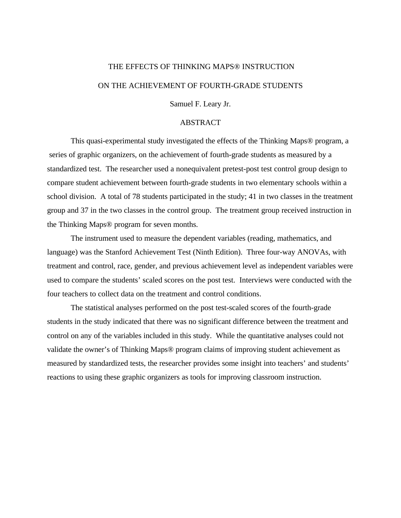## THE EFFECTS OF THINKING MAPS® INSTRUCTION ON THE ACHIEVEMENT OF FOURTH-GRADE STUDENTS

Samuel F. Leary Jr.

#### ABSTRACT

This quasi-experimental study investigated the effects of the Thinking Maps® program, a series of graphic organizers, on the achievement of fourth-grade students as measured by a standardized test. The researcher used a nonequivalent pretest-post test control group design to compare student achievement between fourth-grade students in two elementary schools within a school division. A total of 78 students participated in the study; 41 in two classes in the treatment group and 37 in the two classes in the control group. The treatment group received instruction in the Thinking Maps® program for seven months.

The instrument used to measure the dependent variables (reading, mathematics, and language) was the Stanford Achievement Test (Ninth Edition). Three four-way ANOVAs, with treatment and control, race, gender, and previous achievement level as independent variables were used to compare the students' scaled scores on the post test. Interviews were conducted with the four teachers to collect data on the treatment and control conditions.

The statistical analyses performed on the post test-scaled scores of the fourth-grade students in the study indicated that there was no significant difference between the treatment and control on any of the variables included in this study. While the quantitative analyses could not validate the owner's of Thinking Maps® program claims of improving student achievement as measured by standardized tests, the researcher provides some insight into teachers' and students' reactions to using these graphic organizers as tools for improving classroom instruction.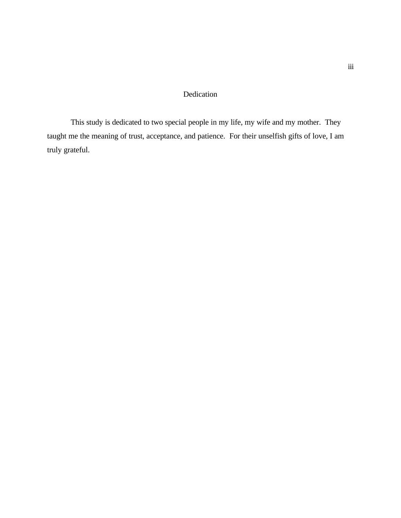#### Dedication

This study is dedicated to two special people in my life, my wife and my mother. They taught me the meaning of trust, acceptance, and patience. For their unselfish gifts of love, I am truly grateful.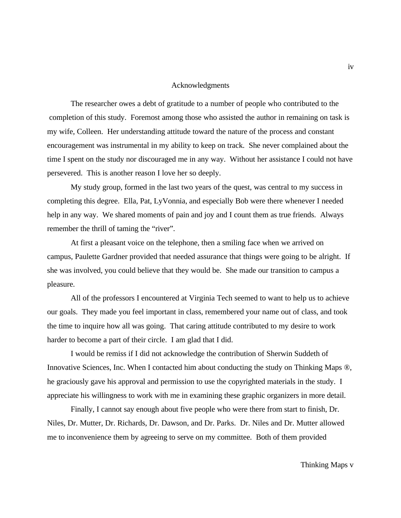#### Acknowledgments

The researcher owes a debt of gratitude to a number of people who contributed to the completion of this study. Foremost among those who assisted the author in remaining on task is my wife, Colleen. Her understanding attitude toward the nature of the process and constant encouragement was instrumental in my ability to keep on track. She never complained about the time I spent on the study nor discouraged me in any way. Without her assistance I could not have persevered. This is another reason I love her so deeply.

My study group, formed in the last two years of the quest, was central to my success in completing this degree. Ella, Pat, LyVonnia, and especially Bob were there whenever I needed help in any way. We shared moments of pain and joy and I count them as true friends. Always remember the thrill of taming the "river".

At first a pleasant voice on the telephone, then a smiling face when we arrived on campus, Paulette Gardner provided that needed assurance that things were going to be alright. If she was involved, you could believe that they would be. She made our transition to campus a pleasure.

All of the professors I encountered at Virginia Tech seemed to want to help us to achieve our goals. They made you feel important in class, remembered your name out of class, and took the time to inquire how all was going. That caring attitude contributed to my desire to work harder to become a part of their circle. I am glad that I did.

I would be remiss if I did not acknowledge the contribution of Sherwin Suddeth of Innovative Sciences, Inc. When I contacted him about conducting the study on Thinking Maps ®, he graciously gave his approval and permission to use the copyrighted materials in the study. I appreciate his willingness to work with me in examining these graphic organizers in more detail.

Finally, I cannot say enough about five people who were there from start to finish, Dr. Niles, Dr. Mutter, Dr. Richards, Dr. Dawson, and Dr. Parks. Dr. Niles and Dr. Mutter allowed me to inconvenience them by agreeing to serve on my committee. Both of them provided

iv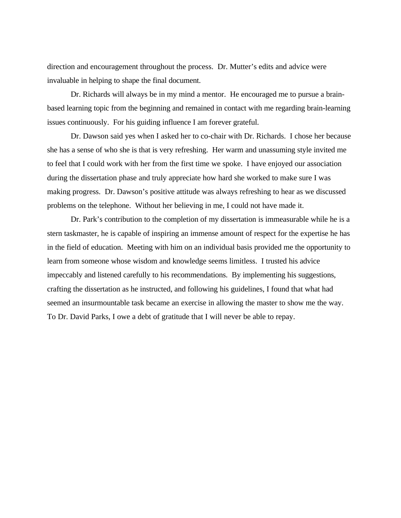direction and encouragement throughout the process. Dr. Mutter's edits and advice were invaluable in helping to shape the final document.

Dr. Richards will always be in my mind a mentor. He encouraged me to pursue a brainbased learning topic from the beginning and remained in contact with me regarding brain-learning issues continuously. For his guiding influence I am forever grateful.

Dr. Dawson said yes when I asked her to co-chair with Dr. Richards. I chose her because she has a sense of who she is that is very refreshing. Her warm and unassuming style invited me to feel that I could work with her from the first time we spoke. I have enjoyed our association during the dissertation phase and truly appreciate how hard she worked to make sure I was making progress. Dr. Dawson's positive attitude was always refreshing to hear as we discussed problems on the telephone. Without her believing in me, I could not have made it.

Dr. Park's contribution to the completion of my dissertation is immeasurable while he is a stern taskmaster, he is capable of inspiring an immense amount of respect for the expertise he has in the field of education. Meeting with him on an individual basis provided me the opportunity to learn from someone whose wisdom and knowledge seems limitless. I trusted his advice impeccably and listened carefully to his recommendations. By implementing his suggestions, crafting the dissertation as he instructed, and following his guidelines, I found that what had seemed an insurmountable task became an exercise in allowing the master to show me the way. To Dr. David Parks, I owe a debt of gratitude that I will never be able to repay.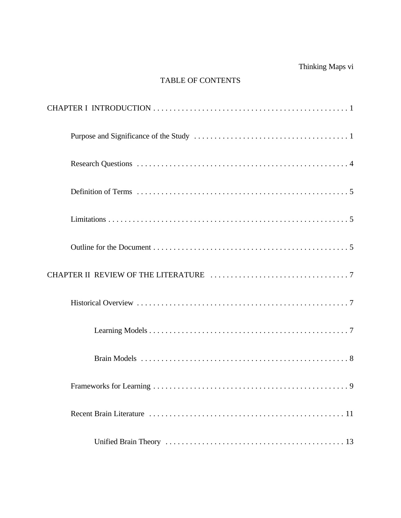## Thinking Maps vi

#### TABLE OF CONTENTS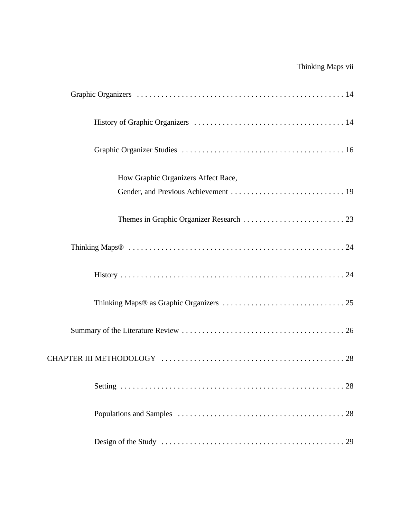## Thinking Maps vii

| How Graphic Organizers Affect Race, |
|-------------------------------------|
|                                     |
|                                     |
|                                     |
|                                     |
|                                     |
|                                     |
|                                     |
|                                     |
|                                     |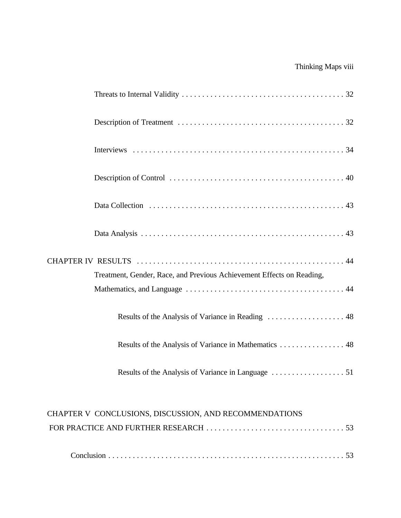## Thinking Maps viii

| Treatment, Gender, Race, and Previous Achievement Effects on Reading, |
|-----------------------------------------------------------------------|
|                                                                       |
| Results of the Analysis of Variance in Mathematics  48                |
|                                                                       |
| CHAPTER V CONCLUSIONS, DISCUSSION, AND RECOMMENDATIONS                |
|                                                                       |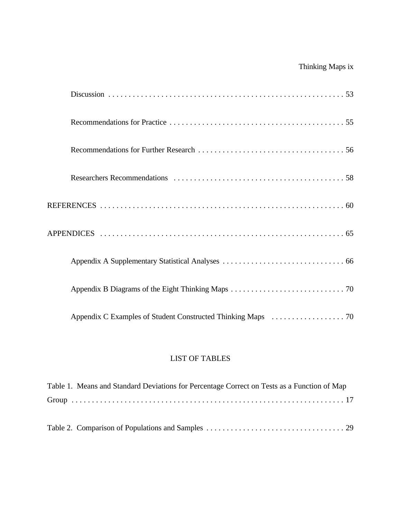## Thinking Maps ix

#### LIST OF TABLES

| Table 1. Means and Standard Deviations for Percentage Correct on Tests as a Function of Map |
|---------------------------------------------------------------------------------------------|
|                                                                                             |
|                                                                                             |
|                                                                                             |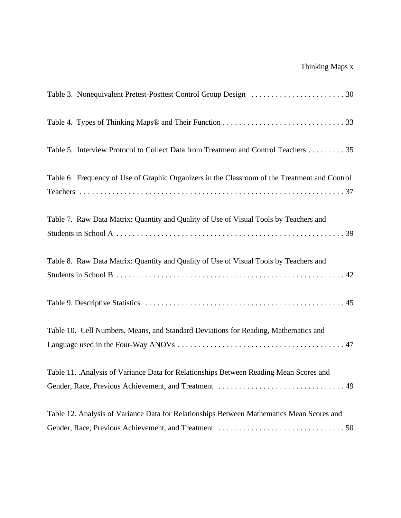| Table 5. Interview Protocol to Collect Data from Treatment and Control Teachers 35           |
|----------------------------------------------------------------------------------------------|
| Table 6 Frequency of Use of Graphic Organizers in the Classroom of the Treatment and Control |
| Table 7. Raw Data Matrix: Quantity and Quality of Use of Visual Tools by Teachers and        |
| Table 8. Raw Data Matrix: Quantity and Quality of Use of Visual Tools by Teachers and        |
|                                                                                              |
|                                                                                              |
| Table 10. Cell Numbers, Means, and Standard Deviations for Reading, Mathematics and          |
|                                                                                              |
| Table 11. Analysis of Variance Data for Relationships Between Reading Mean Scores and        |
|                                                                                              |
| Table 12. Analysis of Variance Data for Relationships Between Mathematics Mean Scores and    |
|                                                                                              |